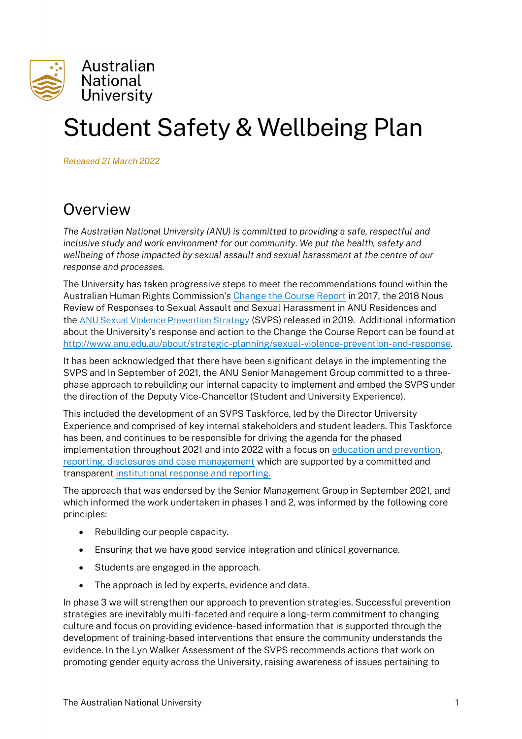

# Student Safety & Wellbeing Plan

*Released 21 March 2022*

# **Overview**

*The Australian National University (ANU) is committed to providing a safe, respectful and inclusive study and work environment for our community. We put the health, safety and wellbeing of those impacted by sexual assault and sexual harassment at the centre of our response and processes.*

The University has taken progressive steps to meet the recommendations found within the Australian Human Rights Commission's [Change the Course Report](https://humanrights.gov.au/our-work/sex-discrimination/publications/change-course-national-report-sexual-assault-and-sexual) in 2017, the 2018 Nous Review of Responses to Sexual Assault and Sexual Harassment in ANU Residences and the [ANU Sexual Violence Prevention Strategy](https://www.anu.edu.au/files/corporate_message/sexualviolenceprevention_0.pdf) (SVPS) released in 2019. Additional information about the University's response and action to the Change the Course Report can be found at [http://www.anu.edu.au/about/strategic-planning/sexual-violence-prevention-and-response.](http://www.anu.edu.au/about/strategic-planning/sexual-violence-prevention-and-response) 

It has been acknowledged that there have been significant delays in the implementing the SVPS and In September of 2021, the ANU Senior Management Group committed to a threephase approach to rebuilding our internal capacity to implement and embed the SVPS under the direction of the Deputy Vice-Chancellor (Student and University Experience).

This included the development of an SVPS Taskforce, led by the Director University Experience and comprised of key internal stakeholders and student leaders. This Taskforce has been, and continues to be responsible for driving the agenda for the phased implementation throughout 2021 and into 2022 with a focus on [education and prevention,](https://www.anu.edu.au/students/health-safety-wellbeing/respectful-relationships) [reporting, disclosures and case management](https://www.anu.edu.au/students/health-safety-wellbeing) which are supported by a committed and transparent [institutional response and reporting.](https://www.anu.edu.au/about/strategic-planning/sexual-violence-prevention-and-response)

The approach that was endorsed by the Senior Management Group in September 2021, and which informed the work undertaken in phases 1 and 2, was informed by the following core principles:

- Rebuilding our people capacity.
- Ensuring that we have good service integration and clinical governance.
- Students are engaged in the approach.
- The approach is led by experts, evidence and data.

In phase 3 we will strengthen our approach to prevention strategies. Successful prevention strategies are inevitably multi-faceted and require a long-term commitment to changing culture and focus on providing evidence-based information that is supported through the development of training-based interventions that ensure the community understands the evidence. In the Lyn Walker Assessment of the SVPS recommends actions that work on promoting gender equity across the University, raising awareness of issues pertaining to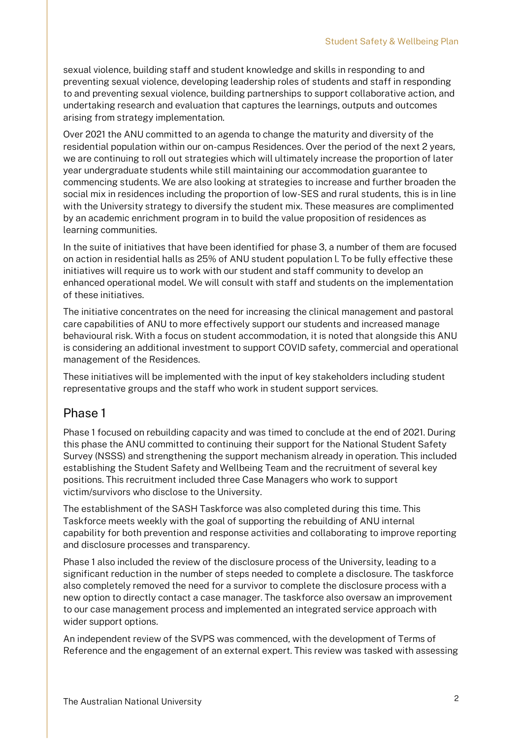sexual violence, building staff and student knowledge and skills in responding to and preventing sexual violence, developing leadership roles of students and staff in responding to and preventing sexual violence, building partnerships to support collaborative action, and undertaking research and evaluation that captures the learnings, outputs and outcomes arising from strategy implementation.

Over 2021 the ANU committed to an agenda to change the maturity and diversity of the residential population within our on-campus Residences. Over the period of the next 2 years, we are continuing to roll out strategies which will ultimately increase the proportion of later year undergraduate students while still maintaining our accommodation guarantee to commencing students. We are also looking at strategies to increase and further broaden the social mix in residences including the proportion of low-SES and rural students, this is in line with the University strategy to diversify the student mix. These measures are complimented by an academic enrichment program in to build the value proposition of residences as learning communities.

In the suite of initiatives that have been identified for phase 3, a number of them are focused on action in residential halls as 25% of ANU student population l. To be fully effective these initiatives will require us to work with our student and staff community to develop an enhanced operational model. We will consult with staff and students on the implementation of these initiatives.

The initiative concentrates on the need for increasing the clinical management and pastoral care capabilities of ANU to more effectively support our students and increased manage behavioural risk. With a focus on student accommodation, it is noted that alongside this ANU is considering an additional investment to support COVID safety, commercial and operational management of the Residences.

These initiatives will be implemented with the input of key stakeholders including student representative groups and the staff who work in student support services.

#### Phase 1

Phase 1 focused on rebuilding capacity and was timed to conclude at the end of 2021. During this phase the ANU committed to continuing their support for the National Student Safety Survey (NSSS) and strengthening the support mechanism already in operation. This included establishing the Student Safety and Wellbeing Team and the recruitment of several key positions. This recruitment included three Case Managers who work to support victim/survivors who disclose to the University.

The establishment of the SASH Taskforce was also completed during this time. This Taskforce meets weekly with the goal of supporting the rebuilding of ANU internal capability for both prevention and response activities and collaborating to improve reporting and disclosure processes and transparency.

Phase 1 also included the review of the disclosure process of the University, leading to a significant reduction in the number of steps needed to complete a disclosure. The taskforce also completely removed the need for a survivor to complete the disclosure process with a new option to directly contact a case manager. The taskforce also oversaw an improvement to our case management process and implemented an integrated service approach with wider support options.

An independent review of the SVPS was commenced, with the development of Terms of Reference and the engagement of an external expert. This review was tasked with assessing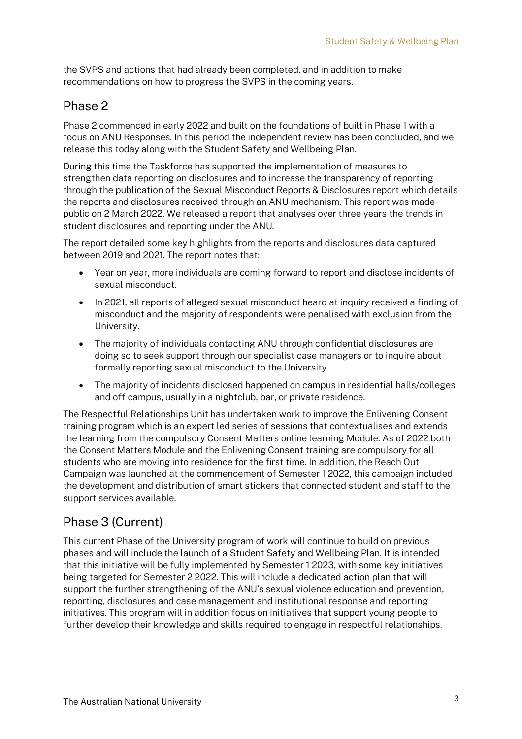the SVPS and actions that had already been completed, and in addition to make recommendations on how to progress the SVPS in the coming years.

### Phase 2

Phase 2 commenced in early 2022 and built on the foundations of built in Phase 1 with a focus on ANU Responses. In this period the independent review has been concluded, and we release this today along with the Student Safety and Wellbeing Plan.

During this time the Taskforce has supported the implementation of measures to strengthen data reporting on disclosures and to increase the transparency of reporting through the publication of the Sexual Misconduct Reports & Disclosures report which details the reports and disclosures received through an ANU mechanism. This report was made public on 2 March 2022. We released a report that analyses over three years the trends in student disclosures and reporting under the ANU.

The report detailed some key highlights from the reports and disclosures data captured between 2019 and 2021. The report notes that:

- Year on year, more individuals are coming forward to report and disclose incidents of sexual misconduct.
- In 2021, all reports of alleged sexual misconduct heard at inquiry received a finding of misconduct and the majority of respondents were penalised with exclusion from the University.
- The majority of individuals contacting ANU through confidential disclosures are doing so to seek support through our specialist case managers or to inquire about formally reporting sexual misconduct to the University.
- The majority of incidents disclosed happened on campus in residential halls/colleges and off campus, usually in a nightclub, bar, or private residence.

The Respectful Relationships Unit has undertaken work to improve the Enlivening Consent training program which is an expert led series of sessions that contextualises and extends the learning from the compulsory Consent Matters online learning Module. As of 2022 both the Consent Matters Module and the Enlivening Consent training are compulsory for all students who are moving into residence for the first time. In addition, the Reach Out Campaign was launched at the commencement of Semester 1 2022, this campaign included the development and distribution of smart stickers that connected student and staff to the support services available.

## Phase 3 (Current)

This current Phase of the University program of work will continue to build on previous phases and will include the launch of a Student Safety and Wellbeing Plan. It is intended that this initiative will be fully implemented by Semester 1 2023, with some key initiatives being targeted for Semester 2 2022. This will include a dedicated action plan that will support the further strengthening of the ANU's sexual violence education and prevention, reporting, disclosures and case management and institutional response and reporting initiatives. This program will in addition focus on initiatives that support young people to further develop their knowledge and skills required to engage in respectful relationships.